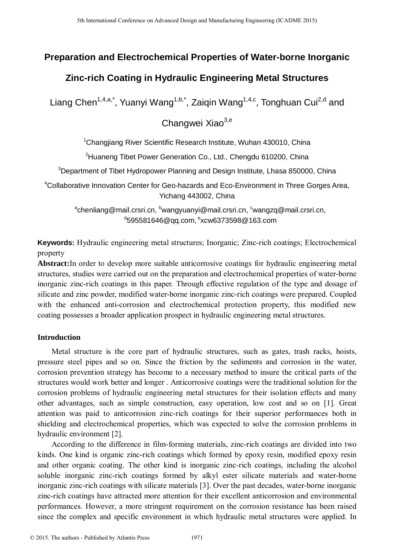# **Preparation and Electrochemical Properties of Water-borne Inorganic**

# **Zinc-rich Coating in Hydraulic Engineering Metal Structures**

Liang Chen<sup>1,4,a,\*</sup>, Yuanyi Wang<sup>1,b,\*</sup>, Zaiqin Wang<sup>1,4,c</sup>, Tonghuan Cui<sup>2,d</sup> and

Changwei Xiao<sup>3,e</sup>

<sup>1</sup>Changjiang River Scientific Research Institute, Wuhan 430010, China

<sup>2</sup>Huaneng Tibet Power Generation Co., Ltd., Chengdu 610200, China

<sup>3</sup>Department of Tibet Hydropower Planning and Design Institute, Lhasa 850000, China

<sup>4</sup>Collaborative Innovation Center for Geo-hazards and Eco-Environment in Three Gorges Area, Yichang 443002, China

<sup>a</sup>chenliang@mail.crsri.cn, <sup>b</sup>wangyuanyi@mail.crsri.cn, <sup>c</sup>wangzq@mail.crsri.cn, d595581646@qq.com, <sup>e</sup>xcw6373598@163.com

**Keywords:** Hydraulic engineering metal structures; Inorganic; Zinc-rich coatings; Electrochemical property

**Abstract:**In order to develop more suitable anticorrosive coatings for hydraulic engineering metal structures, studies were carried out on the preparation and electrochemical properties of water-borne inorganic zinc-rich coatings in this paper. Through effective regulation of the type and dosage of silicate and zinc powder, modified water-borne inorganic zinc-rich coatings were prepared. Coupled with the enhanced anti-corrosion and electrochemical protection property, this modified new coating possesses a broader application prospect in hydraulic engineering metal structures.

## **Introduction**

Metal structure is the core part of hydraulic structures, such as gates, trash racks, hoists, pressure steel pipes and so on. Since the friction by the sediments and corrosion in the water, corrosion prevention strategy has become to a necessary method to insure the critical parts of the structures would work better and longer . Anticorrosive coatings were the traditional solution for the corrosion problems of hydraulic engineering metal structures for their isolation effects and many other advantages, such as simple construction, easy operation, low cost and so on [1]. Great attention was paid to anticorrosion zinc-rich coatings for their superior performances both in shielding and electrochemical properties, which was expected to solve the corrosion problems in hydraulic environment [2]. <sup>5th</sup> International Conference on Advanced Design and Manufacture of **Water-borne International Conference on Advanced Design and Conference on Advanced Design and Conference on Advanced Design and The authors - Changing** 

According to the difference in film-forming materials, zinc-rich coatings are divided into two kinds. One kind is organic zinc-rich coatings which formed by epoxy resin, modified epoxy resin and other organic coating. The other kind is inorganic zinc-rich coatings, including the alcohol soluble inorganic zinc-rich coatings formed by alkyl ester silicate materials and water-borne inorganic zinc-rich coatings with silicate materials [3]. Over the past decades, water-borne inorganic zinc-rich coatings have attracted more attention for their excellent anticorrosion and environmental performances. However, a more stringent requirement on the corrosion resistance has been raised since the complex and specific environment in which hydraulic metal structures were applied. In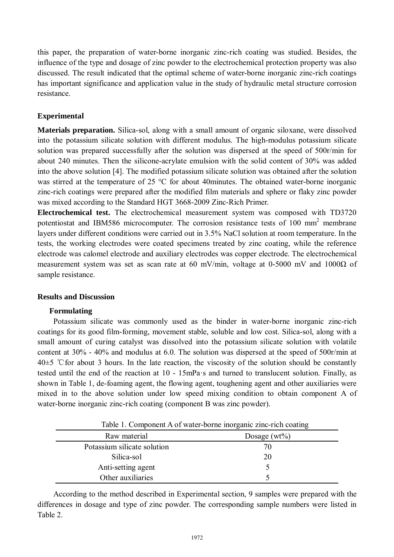this paper, the preparation of water-borne inorganic zinc-rich coating was studied. Besides, the influence of the type and dosage of zinc powder to the electrochemical protection property was also discussed. The result indicated that the optimal scheme of water-borne inorganic zinc-rich coatings has important significance and application value in the study of hydraulic metal structure corrosion resistance.

# **Experimental**

**Materials preparation.** Silica-sol, along with a small amount of organic siloxane, were dissolved into the potassium silicate solution with different modulus. The high-modulus potassium silicate solution was prepared successfully after the solution was dispersed at the speed of 500r/min for about 240 minutes. Then the silicone-acrylate emulsion with the solid content of 30% was added into the above solution [4]. The modified potassium silicate solution was obtained after the solution was stirred at the temperature of 25 °C for about 40minutes. The obtained water-borne inorganic zinc-rich coatings were prepared after the modified film materials and sphere or flaky zinc powder was mixed according to the Standard HGT 3668-2009 Zinc-Rich Primer.

**Electrochemical test.** The electrochemical measurement system was composed with TD3720 potentiostat and IBM586 microcomputer. The corrosion resistance tests of 100 mm<sup>2</sup> membrane layers under different conditions were carried out in 3.5% NaCl solution at room temperature. In the tests, the working electrodes were coated specimens treated by zinc coating, while the reference electrode was calomel electrode and auxiliary electrodes was copper electrode. The electrochemical measurement system was set as scan rate at 60 mV/min, voltage at 0-5000 mV and 1000 $\Omega$  of sample resistance.

## **Results and Discussion**

#### **Formulating**

Potassium silicate was commonly used as the binder in water-borne inorganic zinc-rich coatings for its good film-forming, movement stable, soluble and low cost. Silica-sol, along with a small amount of curing catalyst was dissolved into the potassium silicate solution with volatile content at 30% - 40% and modulus at 6.0. The solution was dispersed at the speed of 500r/min at  $40±5$  °C for about 3 hours. In the late reaction, the viscosity of the solution should be constantly tested until the end of the reaction at 10 - 15mPa·s and turned to translucent solution. Finally, as shown in Table 1, de-foaming agent, the flowing agent, toughening agent and other auxiliaries were mixed in to the above solution under low speed mixing condition to obtain component A of water-borne inorganic zinc-rich coating (component B was zinc powder).

| Table 1. Component A of water-borne inorganic zinc-rich coating |                 |  |  |  |  |
|-----------------------------------------------------------------|-----------------|--|--|--|--|
| Raw material                                                    | Dosage $(wt\%)$ |  |  |  |  |
| Potassium silicate solution                                     | 70              |  |  |  |  |
| Silica-sol                                                      | 20              |  |  |  |  |
| Anti-setting agent                                              |                 |  |  |  |  |
| Other auxiliaries                                               |                 |  |  |  |  |

Table 1. Component A of water-borne inorganic zinc-rich coating

According to the method described in Experimental section, 9 samples were prepared with the differences in dosage and type of zinc powder. The corresponding sample numbers were listed in Table 2.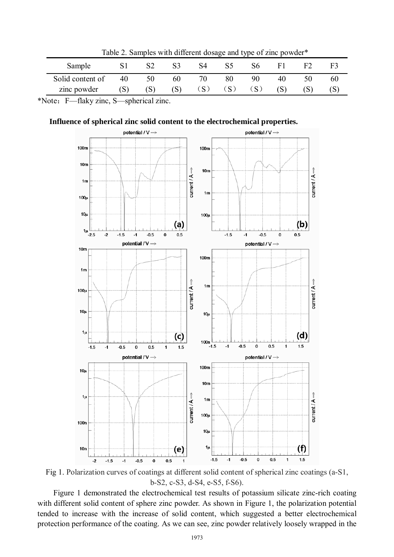| Table 2. Samples with unterent dosage and type of zinc powder. |     |     |     |              |     |    |    |  |    |  |
|----------------------------------------------------------------|-----|-----|-----|--------------|-----|----|----|--|----|--|
| Sample                                                         |     |     | S3  | 84           | S5  | S6 |    |  |    |  |
| Solid content of                                               | 40  | 50  | 60  | 70           | 80  | 90 | 40 |  | 60 |  |
| zinc powder                                                    | (S) | [S] | (S) | $\mathbf{S}$ | (S) |    |    |  |    |  |
|                                                                |     |     |     |              |     |    |    |  |    |  |

 $Table 2.$  Samples with different dosage and ty

\*Note:F—flaky zinc, S—spherical zinc.





Fig 1. Polarization curves of coatings at different solid content of spherical zinc coatings (a-S1, b-S2, c-S3, d-S4, e-S5, f-S6).

Figure 1 demonstrated the electrochemical test results of potassium silicate zinc-rich coating with different solid content of sphere zinc powder. As shown in Figure 1, the polarization potential tended to increase with the increase of solid content, which suggested a better electrochemical protection performance of the coating. As we can see, zinc powder relatively loosely wrapped in the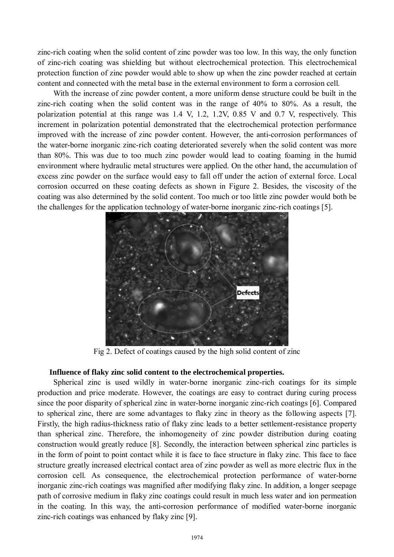zinc-rich coating when the solid content of zinc powder was too low. In this way, the only function of zinc-rich coating was shielding but without electrochemical protection. This electrochemical protection function of zinc powder would able to show up when the zinc powder reached at certain content and connected with the metal base in the external environment to form a corrosion cell.

With the increase of zinc powder content, a more uniform dense structure could be built in the zinc-rich coating when the solid content was in the range of 40% to 80%. As a result, the polarization potential at this range was 1.4 V, 1.2, 1.2V, 0.85 V and 0.7 V, respectively. This increment in polarization potential demonstrated that the electrochemical protection performance improved with the increase of zinc powder content. However, the anti-corrosion performances of the water-borne inorganic zinc-rich coating deteriorated severely when the solid content was more than 80%. This was due to too much zinc powder would lead to coating foaming in the humid environment where hydraulic metal structures were applied. On the other hand, the accumulation of excess zinc powder on the surface would easy to fall off under the action of external force. Local corrosion occurred on these coating defects as shown in Figure 2. Besides, the viscosity of the coating was also determined by the solid content. Too much or too little zinc powder would both be the challenges for the application technology of water-borne inorganic zinc-rich coatings [5].



Fig 2. Defect of coatings caused by the high solid content of zinc

#### **Influence of flaky zinc solid content to the electrochemical properties.**

Spherical zinc is used wildly in water-borne inorganic zinc-rich coatings for its simple production and price moderate. However, the coatings are easy to contract during curing process since the poor disparity of spherical zinc in water-borne inorganic zinc-rich coatings [6]. Compared to spherical zinc, there are some advantages to flaky zinc in theory as the following aspects [7]. Firstly, the high radius-thickness ratio of flaky zinc leads to a better settlement-resistance property than spherical zinc. Therefore, the inhomogeneity of zinc powder distribution during coating construction would greatly reduce [8]. Secondly, the interaction between spherical zinc particles is in the form of point to point contact while it is face to face structure in flaky zinc. This face to face structure greatly increased electrical contact area of zinc powder as well as more electric flux in the corrosion cell. As consequence, the electrochemical protection performance of water-borne inorganic zinc-rich coatings was magnified after modifying flaky zinc. In addition, a longer seepage path of corrosive medium in flaky zinc coatings could result in much less water and ion permeation in the coating. In this way, the anti-corrosion performance of modified water-borne inorganic zinc-rich coatings was enhanced by flaky zinc [9].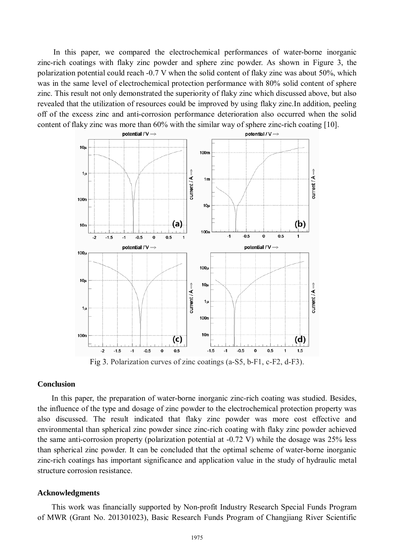In this paper, we compared the electrochemical performances of water-borne inorganic zinc-rich coatings with flaky zinc powder and sphere zinc powder. As shown in Figure 3, the polarization potential could reach -0.7 V when the solid content of flaky zinc was about 50%, which was in the same level of electrochemical protection performance with 80% solid content of sphere zinc. This result not only demonstrated the superiority of flaky zinc which discussed above, but also revealed that the utilization of resources could be improved by using flaky zinc.In addition, peeling off of the excess zinc and anti-corrosion performance deterioration also occurred when the solid content of flaky zinc was more than 60% with the similar way of sphere zinc-rich coating [10].



Fig 3. Polarization curves of zinc coatings (a-S5, b-F1, c-F2, d-F3).

#### **Conclusion**

In this paper, the preparation of water-borne inorganic zinc-rich coating was studied. Besides, the influence of the type and dosage of zinc powder to the electrochemical protection property was also discussed. The result indicated that flaky zinc powder was more cost effective and environmental than spherical zinc powder since zinc-rich coating with flaky zinc powder achieved the same anti-corrosion property (polarization potential at -0.72 V) while the dosage was 25% less than spherical zinc powder. It can be concluded that the optimal scheme of water-borne inorganic zinc-rich coatings has important significance and application value in the study of hydraulic metal structure corrosion resistance.

#### **Acknowledgments**

This work was financially supported by Non-profit Industry Research Special Funds Program of MWR (Grant No. 201301023), Basic Research Funds Program of Changjiang River Scientific